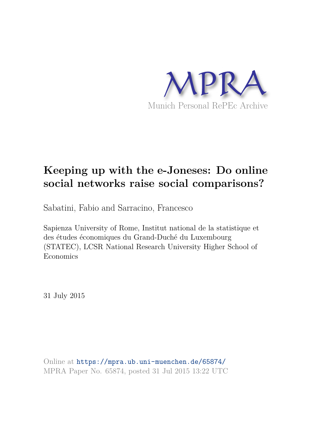

# **Keeping up with the e-Joneses: Do online social networks raise social comparisons?**

Sabatini, Fabio and Sarracino, Francesco

Sapienza University of Rome, Institut national de la statistique et des études économiques du Grand-Duché du Luxembourg (STATEC), LCSR National Research University Higher School of Economics

31 July 2015

Online at https://mpra.ub.uni-muenchen.de/65874/ MPRA Paper No. 65874, posted 31 Jul 2015 13:22 UTC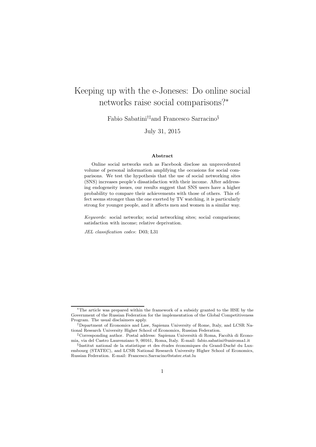## Keeping up with the e-Joneses: Do online social networks raise social comparisons?<sup>∗</sup>

Fabio Sabatini†‡and Francesco Sarracino§

July 31, 2015

#### Abstract

Online social networks such as Facebook disclose an unprecedented volume of personal information amplifying the occasions for social comparisons. We test the hypothesis that the use of social networking sites (SNS) increases people's dissatisfaction with their income. After addressing endogeneity issues, our results suggest that SNS users have a higher probability to compare their achievements with those of others. This effect seems stronger than the one exerted by TV watching, it is particularly strong for younger people, and it affects men and women in a similar way.

Keywords: social networks; social networking sites; social comparisons; satisfaction with income; relative deprivation.

JEL classification codes: D03; L31

<sup>∗</sup>The article was prepared within the framework of a subsidy granted to the HSE by the Government of the Russian Federation for the implementation of the Global Competitiveness Program. The usual disclaimers apply.

<sup>†</sup>Department of Economics and Law, Sapienza University of Rome, Italy, and LCSR National Research University Higher School of Economics, Russian Federation.

<sup>&</sup>lt;sup>‡</sup>Corresponding author. Postal address: Sapienza Università di Roma, Facoltà di Economia, via del Castro Laurenziano 9, 00161, Roma, Italy. E-mail: fabio.sabatini@uniroma1.it

 $\S$ Institut national de la statistique et des études économiques du Grand-Duché du Luxembourg (STATEC), and LCSR National Research University Higher School of Economics, Russian Federation. E-mail: Francesco.Sarracino@statec.etat.lu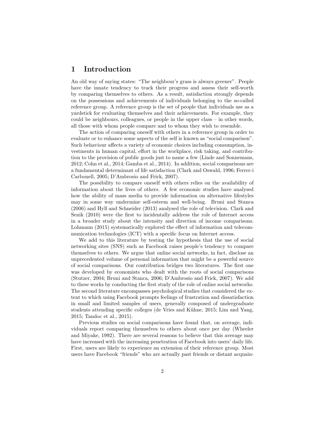### 1 Introduction

An old way of saying states: "The neighbour's grass is always greener". People have the innate tendency to track their progress and assess their self-worth by comparing themselves to others. As a result, satisfaction strongly depends on the possessions and achievements of individuals belonging to the so-called reference group. A reference group is the set of people that individuals use as a yardstick for evaluating themselves and their achievements. For example, they could be neighbours, colleagues, or people in the upper class – in other words, all those with whom people compare and to whom they wish to resemble.

The action of comparing oneself with others in a reference group in order to evaluate or to enhance some aspects of the self is known as "social comparison". Such behaviour affects a variety of economic choices including consumption, investments in human capital, effort in the workplace, risk taking, and contribution to the provision of public goods just to name a few (Linde and Sonnemans, 2012; Cohn et al., 2014; Gamba et al., 2014). In addition, social comparisons are a fundamental determinant of life satisfaction (Clark and Oswald, 1996; Ferrer-i Carbonell, 2005; D'Ambrosio and Frick, 2007).

The possibility to compare oneself with others relies on the availability of information about the lives of others. A few economic studies have analysed how the ability of mass media to provide information on alternative lifestyles may in some way undermine self-esteem and well-being. Bruni and Stanca (2006) and Hyll and Schneider (2013) analysed the role of television. Clark and Senik (2010) were the first to incidentally address the role of Internet access in a broader study about the intensity and direction of income comparisons. Lohmann (2015) systematically explored the effect of information and telecommunication technologies (ICT) with a specific focus on Internet access.

We add to this literature by testing the hypothesis that the use of social networking sites (SNS) such as Facebook raises people's tendency to compare themselves to others. We argue that online social networks, in fact, disclose an unprecedented volume of personal information that might be a powerful source of social comparisons. Our contribution bridges two literatures. The first one was developed by economists who dealt with the roots of social comparisons (Stutzer, 2004; Bruni and Stanca, 2006; D'Ambrosio and Frick, 2007). We add to these works by conducting the first study of the role of online social networks. The second literature encompasses psychological studies that considered the extent to which using Facebook prompts feelings of frustration and dissatisfaction in small and limited samples of users, generally composed of undergraduate students attending specific colleges (de Vries and Kühne, 2015; Lim and Yang, 2015; Tandoc et al., 2015).

Previous studies on social comparisons have found that, on average, individuals report comparing themselves to others about once per day (Wheeler and Miyake, 1992). There are several reasons to believe that this average may have increased with the increasing penetration of Facebook into users' daily life. First, users are likely to experience an extension of their reference group. Most users have Facebook "friends" who are actually past friends or distant acquain-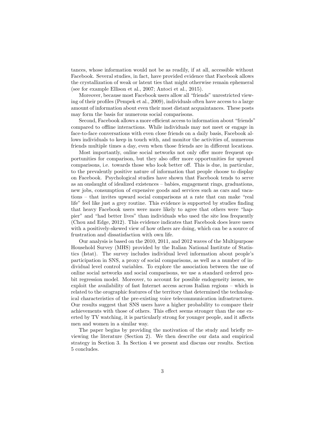tances, whose information would not be as readily, if at all, accessible without Facebook. Several studies, in fact, have provided evidence that Facebook allows the crystallization of weak or latent ties that might otherwise remain ephemeral (see for example Ellison et al., 2007; Antoci et al., 2015).

Moreover, because most Facebook users allow all "friends" unrestricted viewing of their profiles (Pempek et al., 2009), individuals often have access to a large amount of information about even their most distant acquaintances. These posts may form the basis for numerous social comparisons.

Second, Facebook allows a more efficient access to information about "friends" compared to offline interactions. While individuals may not meet or engage in face-to-face conversations with even close friends on a daily basis, Facebook allows individuals to keep in touch with, and monitor the activities of, numerous friends multiple times a day, even when those friends are in different locations.

Most importantly, online social networks not only offer more frequent opportunities for comparison, but they also offer more opportunities for upward comparisons, i.e. towards those who look better off. This is due, in particular, to the prevalently positive nature of information that people choose to display on Facebook. Psychological studies have shown that Facebook tends to serve as an onslaught of idealized existences – babies, engagement rings, graduations, new jobs, consumption of expensive goods and services such as cars and vacations – that invites upward social comparisons at a rate that can make "real life" feel like just a grey routine. This evidence is supported by studies finding that heavy Facebook users were more likely to agree that others were "happier" and "had better lives" than individuals who used the site less frequently (Chou and Edge, 2012). This evidence indicates that Facebook does leave users with a positively-skewed view of how others are doing, which can be a source of frustration and dissatisfaction with own life.

Our analysis is based on the 2010, 2011, and 2012 waves of the Multipurpose Household Survey (MHS) provided by the Italian National Institute of Statistics (Istat). The survey includes individual level information about people's participation in SNS, a proxy of social comparisons, as well as a number of individual level control variables. To explore the association between the use of online social networks and social comparisons, we use a standard ordered probit regression model. Moreover, to account for possible endogeneity issues, we exploit the availability of fast Internet access across Italian regions – which is related to the orographic features of the territory that determined the technological characteristics of the pre-existing voice telecommunication infrastructures. Our results suggest that SNS users have a higher probability to compare their achievements with those of others. This effect seems stronger than the one exerted by TV watching, it is particularly strong for younger people, and it affects men and women in a similar way.

The paper begins by providing the motivation of the study and briefly reviewing the literature (Section 2). We then describe our data and empirical strategy in Section 3. In Section 4 we present and discuss our results. Section 5 concludes.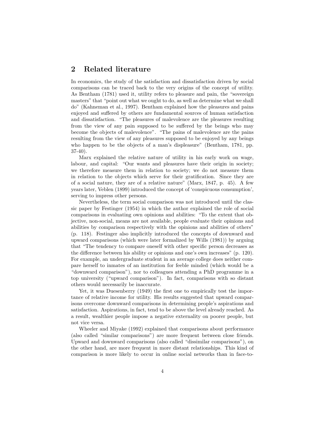#### 2 Related literature

In economics, the study of the satisfaction and dissatisfaction driven by social comparisons can be traced back to the very origins of the concept of utility. As Bentham (1781) used it, utility refers to pleasure and pain, the "sovereign masters" that "point out what we ought to do, as well as determine what we shall do" (Kahneman et al., 1997). Bentham explained how the pleasures and pains enjoyed and suffered by others are fundamental sources of human satisfaction and dissatisfaction. "The pleasures of malevolence are the pleasures resulting from the view of any pain supposed to be suffered by the beings who may become the objects of malevolence". "The pains of malevolence are the pains resulting from the view of any pleasures supposed to be enjoyed by any beings who happen to be the objects of a man's displeasure" (Bentham, 1781, pp. 37-40).

Marx explained the relative nature of utility in his early work on wage, labour, and capital: "Our wants and pleasures have their origin in society; we therefore measure them in relation to society; we do not measure them in relation to the objects which serve for their gratification. Since they are of a social nature, they are of a relative nature" (Marx, 1847, p. 45). A few years later, Veblen (1899) introduced the concept of 'conspicuous consumption', serving to impress other persons.

Nevertheless, the term social comparison was not introduced until the classic paper by Festinger (1954) in which the author explained the role of social comparisons in evaluating own opinions and abilities: "To the extent that objective, non-social, means are not available, people evaluate their opinions and abilities by comparison respectively with the opinions and abilities of others" (p. 118). Festinger also implicitly introduced the concepts of downward and upward comparisons (which were later formalized by Wills (1981)) by arguing that "The tendency to compare oneself with other specific person decreases as the difference between his ability or opinions and one's own increases" (p. 120). For example, an undergraduate student in an average college does neither compare herself to inmates of an institution for feeble minded (which would be a "downward comparison"), nor to colleagues attending a PhD programme in a top university ("upward comparison"). In fact, comparisons with so distant others would necessarily be inaccurate.

Yet, it was Duesenberry (1949) the first one to empirically test the importance of relative income for utility. His results suggested that upward comparisons overcome downward comparisons in determining people's aspirations and satisfaction. Aspirations, in fact, tend to be above the level already reached. As a result, wealthier people impose a negative externality on poorer people, but not vice versa.

Wheeler and Miyake (1992) explained that comparisons about performance (also called "similar comparisons") are more frequent between close friends. Upward and downward comparisons (also called "dissimilar comparisons"), on the other hand, are more frequent in more distant relationships. This kind of comparison is more likely to occur in online social networks than in face-to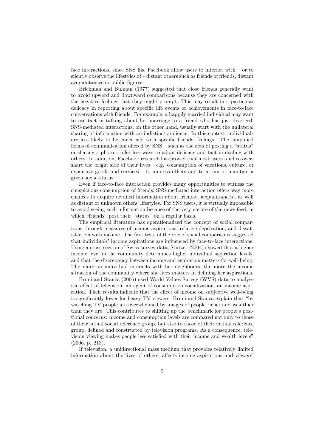face interactions, since SNS like Facebook allow users to interact with – or to silently observe the lifestyles of – distant others such as friends of friends, distant acquaintances or public figures.

Brickman and Bulman (1977) suggested that close friends generally want to avoid upward and downward comparisons because they are concerned with the negative feelings that they might prompt. This may result in a particular delicacy in reporting about specific life events or achievements in face-to-face conversations with friends. For example, a happily married individual may want to use tact in talking about her marriage to a friend who has just divorced. SNS-mediated interactions, on the other hand, usually start with the unilateral sharing of information with an indistinct audience. In this context, individuals are less likely to be concerned with specific friends' feelings. The simplified forms of communication offered by SNS – such as the acts of posting a "status" or sharing a photo – offer less ways to adopt delicacy and tact in dealing with others. In addition, Facebook research has proved that most users tend to overshare the bright side of their lives – e.g. consumption of vacations, culture, or expensive goods and services – to impress others and to attain or maintain a given social status.

Even if face-to-face interaction provides many opportunities to witness the conspicuous consumption of friends, SNS-mediated interaction offers way more chances to acquire detailed information about friends', acquaintances', as well as distant or unknown others' lifestyles. For SNS users, it is virtually impossible to avoid seeing such information because of the very nature of the news feed, in which "friends" post their "status" on a regular basis.

The empirical literature has operationalized the concept of social comparisons through measures of income aspirations, relative deprivation, and dissatisfaction with income. The first tests of the role of social comparisons suggested that individuals' income aspirations are influenced by face-to-face interactions. Using a cross-section of Swiss survey data, Stutzer (2004) showed that a higher income level in the community determines higher individual aspiration levels, and that the discrepancy between income and aspiration matters for well-being. The more an individual interacts with her neighbours, the more the income situation of the community where she lives matters in defining her aspirations.

Bruni and Stanca (2006) used World Values Survey (WVS) data to analyse the effect of television, an agent of consumption socialization, on income aspiration. Their results indicate that the effect of income on subjective well-being is significantly lower for heavy-TV viewers. Bruni and Stanca explain that "by watching TV people are overwhelmed by images of people richer and wealthier than they are. This contributes to shifting up the benchmark for people's positional concerns: income and consumption levels are compared not only to those of their actual social reference group, but also to those of their virtual reference group, defined and constructed by television programs. As a consequence, television viewing makes people less satisfied with their income and wealth levels" (2006, p. 213).

If television, a unidirectional mass medium that provides relatively limited information about the lives of others, affects income aspirations and viewers'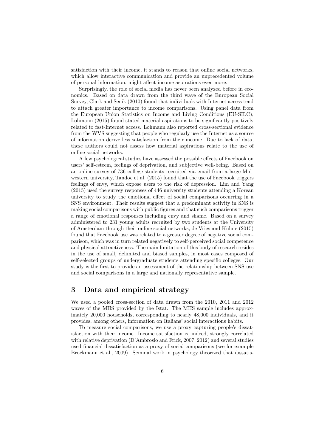satisfaction with their income, it stands to reason that online social networks, which allow interactive communication and provide an unprecedented volume of personal information, might affect income aspirations even more.

Surprisingly, the role of social media has never been analyzed before in economics. Based on data drawn from the third wave of the European Social Survey, Clark and Senik (2010) found that individuals with Internet access tend to attach greater importance to income comparisons. Using panel data from the European Union Statistics on Income and Living Conditions (EU-SILC), Lohmann (2015) found stated material aspirations to be significantly positively related to fast-Internet access. Lohmann also reported cross-sectional evidence from the WVS suggesting that people who regularly use the Internet as a source of information derive less satisfaction from their income. Due to lack of data, these authors could not assess how material aspirations relate to the use of online social networks.

A few psychological studies have assessed the possible effects of Facebook on users' self-esteem, feelings of deprivation, and subjective well-being. Based on an online survey of 736 college students recruited via email from a large Midwestern university, Tandoc et al. (2015) found that the use of Facebook triggers feelings of envy, which expose users to the risk of depression. Lim and Yang (2015) used the survey responses of 446 university students attending a Korean university to study the emotional effect of social comparisons occurring in a SNS environment. Their results suggest that a predominant activity in SNS is making social comparisons with public figures and that such comparisons trigger a range of emotional responses including envy and shame. Based on a survey administered to 231 young adults recruited by two students at the University of Amsterdam through their online social networks, de Vries and K¨uhne (2015) found that Facebook use was related to a greater degree of negative social comparison, which was in turn related negatively to self-perceived social competence and physical attractiveness. The main limitation of this body of research resides in the use of small, delimited and biased samples, in most cases composed of self-selected groups of undergraduate students attending specific colleges. Our study is the first to provide an assessment of the relationship between SNS use and social comparisons in a large and nationally representative sample.

#### 3 Data and empirical strategy

We used a pooled cross-section of data drawn from the 2010, 2011 and 2012 waves of the MHS provided by the Istat. The MHS sample includes approximately 20,000 households, corresponding to nearly 48,000 individuals, and it provides, among others, information on Italians' social interactions habits.

To measure social comparisons, we use a proxy capturing people's dissatisfaction with their income. Income satisfaction is, indeed, strongly correlated with relative deprivation (D'Ambrosio and Frick, 2007, 2012) and several studies used financial dissatisfaction as a proxy of social comparisons (see for example Brockmann et al., 2009). Seminal work in psychology theorized that dissatis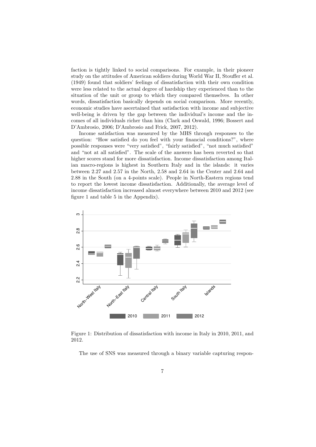faction is tightly linked to social comparisons. For example, in their pioneer study on the attitudes of American soldiers during World War II, Stouffer et al. (1949) found that soldiers' feelings of dissatisfaction with their own condition were less related to the actual degree of hardship they experienced than to the situation of the unit or group to which they compared themselves. In other words, dissatisfaction basically depends on social comparison. More recently, economic studies have ascertained that satisfaction with income and subjective well-being is driven by the gap between the individual's income and the incomes of all individuals richer than him (Clark and Oswald, 1996; Bossert and D'Ambrosio, 2006; D'Ambrosio and Frick, 2007, 2012).

Income satisfaction was measured by the MHS through responses to the question: "How satisfied do you feel with your financial conditions?", where possible responses were "very satisfied", "fairly satisfied", "not much satisfied" and "not at all satisfied". The scale of the answers has been reverted so that higher scores stand for more dissatisfaction. Income dissatisfaction among Italian macro-regions is highest in Southern Italy and in the islands: it varies between 2.27 and 2.57 in the North, 2.58 and 2.64 in the Center and 2.64 and 2.88 in the South (on a 4-points scale). People in North-Eastern regions tend to report the lowest income dissatisfaction. Additionally, the average level of income dissatisfaction increased almost everywhere between 2010 and 2012 (see figure 1 and table 5 in the Appendix).



Figure 1: Distribution of dissatisfaction with income in Italy in 2010, 2011, and 2012.

The use of SNS was measured through a binary variable capturing respon-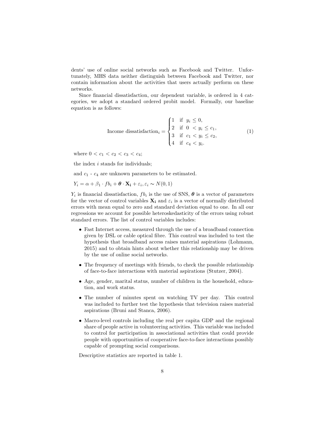dents' use of online social networks such as Facebook and Twitter. Unfortunately, MHS data neither distinguish between Facebook and Twitter, nor contain information about the activities that users actually perform on these networks.

Since financial dissatisfaction, our dependent variable, is ordered in 4 categories, we adopt a standard ordered probit model. Formally, our baseline equation is as follows:

Income dissatisfactor<sub>i</sub> =

\n
$$
\begin{cases}\n1 & \text{if } y_i \leq 0, \\
2 & \text{if } 0 < y_i \leq c_1, \\
3 & \text{if } c_1 < y_i \leq c_2, \\
4 & \text{if } c_4 < y_i.\n\end{cases}\n\tag{1}
$$

where  $0 < c_1 < c_2 < c_3 < c_4$ ;

the index  $i$  stands for individuals;

and  $c_1$  -  $c_4$  are unknown parameters to be estimated.

$$
Y_i = \alpha + \beta_1 \cdot f b_i + \boldsymbol{\theta} \cdot \mathbf{X_i} + \varepsilon_i, \varepsilon_i \sim N(0, 1)
$$

 $Y_i$  is financial dissatisfaction,  $fb_i$  is the use of SNS,  $\boldsymbol{\theta}$  is a vector of parameters for the vector of control variables  $\mathbf{X}_i$  and  $\varepsilon_i$  is a vector of normally distributed errors with mean equal to zero and standard deviation equal to one. In all our regressions we account for possible heteroskedasticity of the errors using robust standard errors. The list of control variables includes:

- Fast Internet access, measured through the use of a broadband connection given by DSL or cable optical fibre. This control was included to test the hypothesis that broadband access raises material aspirations (Lohmann, 2015) and to obtain hints about whether this relationship may be driven by the use of online social networks.
- The frequency of meetings with friends, to check the possible relationship of face-to-face interactions with material aspirations (Stutzer, 2004).
- Age, gender, marital status, number of children in the household, education, and work status.
- The number of minutes spent on watching TV per day. This control was included to further test the hypothesis that television raises material aspirations (Bruni and Stanca, 2006).
- Macro-level controls including the real per capita GDP and the regional share of people active in volunteering activities. This variable was included to control for participation in associational activities that could provide people with opportunities of cooperative face-to-face interactions possibly capable of prompting social comparisons.

Descriptive statistics are reported in table 1.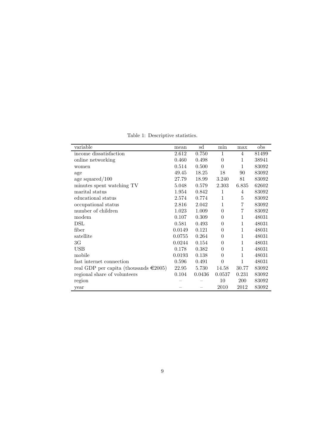| Table 1: Descriptive statistics. |
|----------------------------------|
|----------------------------------|

| variable                                    | mean   | sd     | min              | max            | obs   |
|---------------------------------------------|--------|--------|------------------|----------------|-------|
| income dissatisfaction                      | 2.612  | 0.750  | $\mathbf{1}$     | $\overline{4}$ | 81499 |
| online networking                           | 0.460  | 0.498  | $\theta$         | 1              | 38941 |
| women                                       | 0.514  | 0.500  | $\theta$         | 1              | 83092 |
| age                                         | 49.45  | 18.25  | 18               | 90             | 83092 |
| age squared $/100$                          | 27.79  | 18.99  | 3.240            | 81             | 83092 |
| minutes spent watching TV                   | 5.048  | 0.579  | 2.303            | 6.835          | 62602 |
| marital status                              | 1.954  | 0.842  | 1                | 4              | 83092 |
| educational status                          | 2.574  | 0.774  | 1                | 5              | 83092 |
| occupational status                         | 2.816  | 2.042  | $\mathbf{1}$     | 7              | 83092 |
| number of children                          | 1.023  | 1.009  | $\theta$         | 7              | 83092 |
| modem                                       | 0.107  | 0.309  | $\theta$         | 1              | 48031 |
| DSL                                         | 0.581  | 0.493  | $\boldsymbol{0}$ | 1              | 48031 |
| fiber                                       | 0.0149 | 0.121  | $\overline{0}$   | $\mathbf 1$    | 48031 |
| satellite                                   | 0.0755 | 0.264  | $\Omega$         | $\mathbf 1$    | 48031 |
| 3G                                          | 0.0244 | 0.154  | $\theta$         | 1              | 48031 |
| USB                                         | 0.178  | 0.382  | $\theta$         | 1              | 48031 |
| mobile                                      | 0.0193 | 0.138  | $\theta$         | 1              | 48031 |
| fast internet connection                    | 0.596  | 0.491  | $\theta$         | 1              | 48031 |
| real GDP per capita (thousands $\in 2005$ ) | 22.95  | 5.730  | 14.58            | 30.77          | 83092 |
| regional share of volunteers                | 0.104  | 0.0436 | 0.0537           | 0.231          | 83092 |
| region                                      |        |        | 10               | 200            | 83092 |
| year                                        |        |        | 2010             | 2012           | 83092 |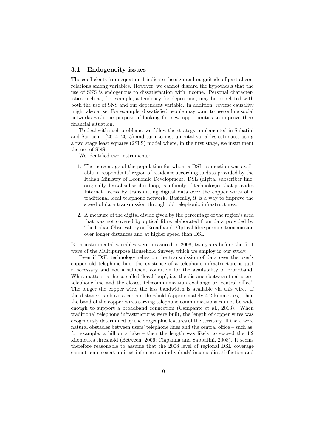#### 3.1 Endogeneity issues

The coefficients from equation 1 indicate the sign and magnitude of partial correlations among variables. However, we cannot discard the hypothesis that the use of SNS is endogenous to dissatisfaction with income. Personal characteristics such as, for example, a tendency for depression, may be correlated with both the use of SNS and our dependent variable. In addition, reverse causality might also arise. For example, dissatisfied people may want to use online social networks with the purpose of looking for new opportunities to improve their financial situation.

To deal with such problems, we follow the strategy implemented in Sabatini and Sarracino (2014, 2015) and turn to instrumental variables estimates using a two stage least squares (2SLS) model where, in the first stage, we instrument the use of SNS.

We identified two instruments:

- 1. The percentage of the population for whom a DSL connection was available in respondents' region of residence according to data provided by the Italian Ministry of Economic Development. DSL (digital subscriber line, originally digital subscriber loop) is a family of technologies that provides Internet access by transmitting digital data over the copper wires of a traditional local telephone network. Basically, it is a way to improve the speed of data transmission through old telephonic infrastructures.
- 2. A measure of the digital divide given by the percentage of the region's area that was not covered by optical fibre, elaborated from data provided by The Italian Observatory on Broadband. Optical fibre permits transmission over longer distances and at higher speed than DSL.

Both instrumental variables were measured in 2008, two years before the first wave of the Multipurpose Household Survey, which we employ in our study.

Even if DSL technology relies on the transmission of data over the user's copper old telephone line, the existence of a telephone infrastructure is just a necessary and not a sufficient condition for the availability of broadband. What matters is the so-called 'local loop', i.e. the distance between final users' telephone line and the closest telecommunication exchange or 'central office'. The longer the copper wire, the less bandwidth is available via this wire. If the distance is above a certain threshold (approximately 4.2 kilometres), then the band of the copper wires serving telephone communications cannot be wide enough to support a broadband connection (Campante et al., 2013). When traditional telephone infrastructures were built, the length of copper wires was exogenously determined by the orographic features of the territory. If there were natural obstacles between users' telephone lines and the central office – such as, for example, a hill or a lake – then the length was likely to exceed the 4.2 kilometres threshold (Between, 2006; Ciapanna and Sabbatini, 2008). It seems therefore reasonable to assume that the 2008 level of regional DSL coverage cannot per se exert a direct influence on individuals' income dissatisfaction and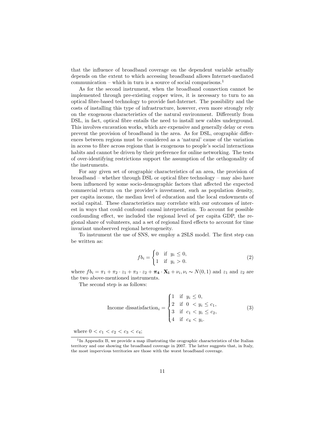that the influence of broadband coverage on the dependent variable actually depends on the extent to which accessing broadband allows Internet-mediated communication – which in turn is a source of social comparisons.<sup>1</sup>

As for the second instrument, when the broadband connection cannot be implemented through pre-existing copper wires, it is necessary to turn to an optical fibre-based technology to provide fast-Internet. The possibility and the costs of installing this type of infrastructure, however, even more strongly rely on the exogenous characteristics of the natural environment. Differently from DSL, in fact, optical fibre entails the need to install new cables underground. This involves excavation works, which are expensive and generally delay or even prevent the provision of broadband in the area. As for DSL, orographic differences between regions must be considered as a 'natural' cause of the variation in access to fibre across regions that is exogenous to people's social interactions habits and cannot be driven by their preference for online networking. The tests of over-identifying restrictions support the assumption of the orthogonality of the instruments.

For any given set of orographic characteristics of an area, the provision of broadband – whether through DSL or optical fibre technology – may also have been influenced by some socio-demographic factors that affected the expected commercial return on the provider's investment, such as population density, per capita income, the median level of education and the local endowments of social capital. These characteristics may correlate with our outcomes of interest in ways that could confound causal interpretation. To account for possible confounding effect, we included the regional level of per capita GDP, the regional share of volunteers, and a set of regional fixed effects to account for time invariant unobserved regional heterogeneity.

To instrument the use of SNS, we employ a 2SLS model. The first step can be written as:

$$
fb_i = \begin{cases} 0 & \text{if } y_i \le 0, \\ 1 & \text{if } y_i > 0. \end{cases}
$$
 (2)

where  $f b_i = \pi_1 + \pi_2 \cdot z_1 + \pi_3 \cdot z_2 + \pi_4 \cdot \mathbf{X}_i + \nu_i, \nu_i \sim N(0, 1)$  and  $z_1$  and  $z_2$  are the two above-mentioned instruments.

The second step is as follows:

Income dissatisfactor<sub>i</sub> =

\n
$$
\begin{cases}\n1 & \text{if } y_i \leq 0, \\
2 & \text{if } 0 < y_i \leq c_1, \\
3 & \text{if } c_1 < y_i \leq c_2, \\
4 & \text{if } c_4 < y_i.\n\end{cases}\n\tag{3}
$$

where  $0 < c_1 < c_2 < c_3 < c_4$ ;

<sup>&</sup>lt;sup>1</sup>In Appendix B, we provide a map illustrating the orographic characteristics of the Italian territory and one showing the broadband coverage in 2007. The latter suggests that, in Italy, the most impervious territories are those with the worst broadband coverage.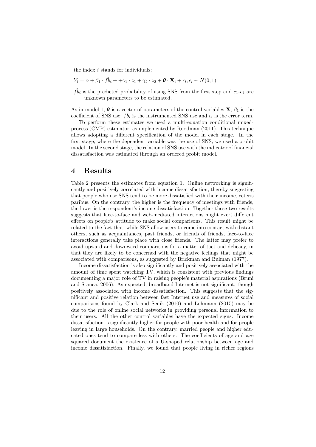the index  $i$  stands for individuals;

$$
Y_i = \alpha + \beta_1 \cdot f\hat{b}_i + \gamma_1 \cdot z_1 + \gamma_2 \cdot z_2 + \theta \cdot \mathbf{X_i} + \epsilon_i, \epsilon_i \sim N(0, 1)
$$

 $\hat{fb}_i$  is the predicted probability of using SNS from the first step and  $c_1-c_4$  are unknown parameters to be estimated.

As in model 1,  $\theta$  is a vector of parameters of the control variables  $X$ ;  $\beta_1$  is the coefficient of SNS use;  $\hat{fb}_i$  is the instrumented SNS use and  $\epsilon_i$  is the error term.

To perform these estimates we used a multi-equation conditional mixedprocess (CMP) estimator, as implemented by Roodman (2011). This technique allows adopting a different specification of the model in each stage. In the first stage, where the dependent variable was the use of SNS, we used a probit model. In the second stage, the relation of SNS use with the indicator of financial dissatisfaction was estimated through an ordered probit model.

#### 4 Results

Table 2 presents the estimates from equation 1. Online networking is significantly and positively correlated with income dissatisfaction, thereby suggesting that people who use SNS tend to be more dissatisfied with their income, ceteris paribus. On the contrary, the higher is the frequency of meetings with friends, the lower is the respondent's income dissatisfaction. Together these two results suggests that face-to-face and web-mediated interactions might exert different effects on people's attitude to make social comparisons. This result might be related to the fact that, while SNS allow users to come into contact with distant others, such as acquaintances, past friends, or friends of friends, face-to-face interactions generally take place with close friends. The latter may prefer to avoid upward and downward comparisons for a matter of tact and delicacy, in that they are likely to be concerned with the negative feelings that might be associated with comparisons, as suggested by Brickman and Bulman (1977).

Income dissatisfaction is also significantly and positively associated with the amount of time spent watching TV, which is consistent with previous findings documenting a major role of TV in raising people's material aspirations (Bruni and Stanca, 2006). As expected, broadband Internet is not significant, though positively associated with income dissatisfaction. This suggests that the significant and positive relation between fast Internet use and measures of social comparisons found by Clark and Senik (2010) and Lohmann (2015) may be due to the role of online social networks in providing personal information to their users. All the other control variables have the expected signs. Income dissatisfaction is significantly higher for people with poor health and for people leaving in large households. On the contrary, married people and higher educated ones tend to compare less with others. The coefficients of age and age squared document the existence of a U-shaped relationship between age and income dissatisfaction. Finally, we found that people living in richer regions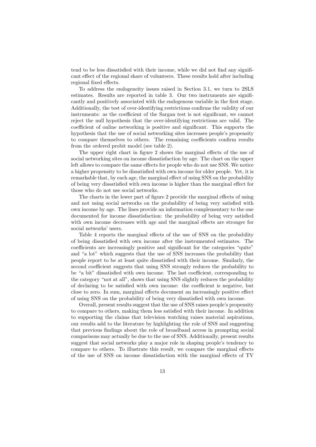tend to be less dissatisfied with their income, while we did not find any significant effect of the regional share of volunteers. These results hold after including regional fixed effects.

To address the endogeneity issues raised in Section 3.1, we turn to 2SLS estimates. Results are reported in table 3. Our two instruments are significantly and positively associated with the endogenous variable in the first stage. Additionally, the test of over-identifying restrictions confirms the validity of our instruments: as the coefficient of the Sargan test is not significant, we cannot reject the null hypothesis that the over-identifying restrictions are valid. The coefficient of online networking is positive and significant. This supports the hypothesis that the use of social networking sites increases people's propensity to compare themselves to others. The remaining coefficients confirm results from the ordered probit model (see table 2).

The upper right chart in figure 2 shows the marginal effects of the use of social networking sites on income dissatisfaction by age. The chart on the upper left allows to compare the same effects for people who do not use SNS. We notice a higher propensity to be dissatisfied with own income for older people. Yet, it is remarkable that, by each age, the marginal effect of using SNS on the probability of being very dissatisfied with own income is higher than the marginal effect for those who do not use social networks.

The charts in the lower part of figure 2 provide the marginal effects of using and not using social networks on the probability of being very satisfied with own income by age. The lines provide an information complementary to the one documented for income dissatisfaction: the probability of being very satisfied with own income decreases with age and the marginal effects are stronger for social networks' users.

Table 4 reports the marginal effects of the use of SNS on the probability of being dissatisfied with own income after the instrumented estimates. The coefficients are increasingly positive and significant for the categories "quite" and "a lot" which suggests that the use of SNS increases the probability that people report to be at least quite dissatisfied with their income. Similarly, the second coefficient suggests that using SNS strongly reduces the probability to be "a bit" dissatisfied with own income. The last coefficient, corresponding to the category "not at all", shows that using SNS slightly reduces the probability of declaring to be satisfied with own income: the coefficient is negative, but close to zero. In sum, marginal effects document an increasingly positive effect of using SNS on the probability of being very dissatisfied with own income.

Overall, present results suggest that the use of SNS raises people's propensity to compare to others, making them less satisfied with their income. In addition to supporting the claims that television watching raises material aspirations, our results add to the literature by highlighting the role of SNS and suggesting that previous findings about the role of broadband access in prompting social comparisons may actually be due to the use of SNS. Additionally, present results suggest that social networks play a major role in shaping people's tendency to compare to others. To illustrate this result, we compare the marginal effects of the use of SNS on income dissatisfaction with the marginal effects of TV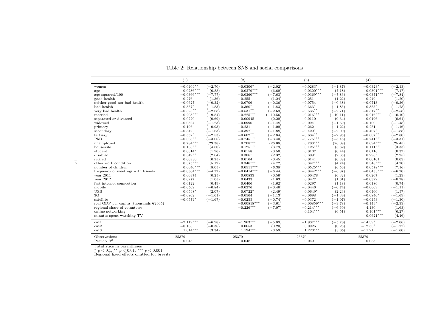|                                             | (1)          |           | (2)           |            | (3)           |            | (4)          |            |
|---------------------------------------------|--------------|-----------|---------------|------------|---------------|------------|--------------|------------|
| women                                       | $-0.0409**$  | $(-2.70)$ | $-0.0306*$    | $(-2.02)$  | $-0.0283*$    | $(-1.87)$  | $-0.0323*$   | $(-2.13)$  |
| age                                         | $0.0286***$  | (6.88)    | $0.0279***$   | (6.69)     | $0.0300***$   | (7.18)     | $0.0301***$  | (7.17)     |
| age squared/100                             | $-0.0366***$ | $(-7.77)$ | $-0.0360***$  | $(-7.63)$  | $-0.0369***$  | $(-7.83)$  | $-0.0371***$ | $(-7.84)$  |
| good health                                 | 0.276        | (1.36)    | 0.255         | (1.24)     | 0.251         | (1.22)     | 0.249        | (1.20)     |
| neither good nor bad health                 | $-0.0627$    | $(-0.32)$ | $-0.0706$     | $(-0.36)$  | $-0.0754$     | $(-0.38)$  | $-0.0713$    | $(-0.36)$  |
| bad health                                  | $-0.357*$    | $(-1.83)$ | $-0.360*$     | $(-1.83)$  | $-0.363*$     | $(-1.85)$  | $-0.355*$    | $(-1.78)$  |
| very bad health                             | $-0.525**$   | $(-2.68)$ | $-0.531**$    | $(-2.69)$  | $-0.536**$    | $(-2.71)$  | $-0.517**$   | $(-2.58)$  |
| married                                     | $-0.208***$  | $(-9.84)$ | $-0.225***$   | $(-10.56)$ | $-0.216***$   | $(-10.11)$ | $-0.216***$  | $(-10.10)$ |
| separated or divorced                       | 0.0220       | (0.69)    | 0.00945       | (0.29)     | 0.0110        | (0.34)     | 0.0196       | (0.61)     |
| widowed                                     | $-0.0824$    | $(-1.23)$ | $-0.0996$     | $(-1.48)$  | $-0.0941$     | $(-1.39)$  | $-0.100$     | $(-1.48)$  |
| primary                                     | $-0.196$     | $(-0.93)$ | $-0.231$      | $(-1.09)$  | $-0.262$      | $(-1.22)$  | $-0.251$     | $(-1.16)$  |
| secondary                                   | $-0.342$     | $(-1.63)$ | $-0.397*$     | $(-1.88)$  | $-0.429*$     | $(-2.00)$  | $-0.407*$    | $(-1.88)$  |
| tertiary                                    | $-0.532*$    | $(-2.53)$ | $-0.602**$    | $(-2.84)$  | $-0.634**$    | $(-2.95)$  | $-0.607**$   | $(-2.80)$  |
| PhD                                         | $-0.668**$   | $(-3.06)$ | $-0.745***$   | $-3.40$    | $-0.776***$   | $(-3.48)$  | $-0.741***$  | $(-3.31)$  |
| unemployed                                  | $0.784***$   | (29.38)   | $0.708***$    | (26.08)    | $0.708***$    | (26.09)    | $0.694***$   | (25.45)    |
| housewife                                   | $0.158***$   | (4.80)    | $0.125***$    | (3.79)     | $0.126***$    | (3.82)     | $0.111***$   | (3.33)     |
| student                                     | $0.0614*$    | (1.96)    | 0.0158        | (0.50)     | 0.0137        | (0.44)     | 0.0116       | (0.37)     |
| disabled                                    | $0.349**$    | (2.64)    | $0.306*$      | (2.32)     | $0.309*$      | (2.35)     | $0.298*$     | (2.25)     |
| retired                                     | 0.00930      | (0.25)    | 0.0164        | (0.45)     | 0.0141        | (0.38)     | 0.00101      | (0.03)     |
| other work condition                        | $0.375***$   | (5.12)    | $0.346***$    | (4.72)     | $0.347***$    | (4.74)     | $0.348***$   | (4.70)     |
| number of children                          | $0.0640***$  | (8.05)    | $0.0511***$   | (6.38)     | $0.0525***$   | (6.56)     | $0.0578***$  | (7.16)     |
| frequency of meetings with friends          | $-0.0304***$ | $(-4.77)$ | $-0.0414***$  | $(-6.44)$  | $-0.0442***$  | $(-6.87)$  | $-0.0433***$ | $(-6.70)$  |
| year 2011                                   | 0.00374      | (0.25)    | 0.00833       | (0.56)     | 0.00478       | (0.32)     | 0.0207       | (1.23)     |
| year 2012                                   | 0.0277       | (1.05)    | 0.0433        | (1.63)     | 0.0427        | (1.61)     | $-0.0322$    | $(-0.78)$  |
| fast internet connection                    | 0.0122       | (0.49)    | 0.0406        | (1.62)     | 0.0297        | (1.18)     | 0.0186       | (0.74)     |
| mobile                                      | $-0.0502$    | $(-0.84)$ | $-0.0276$     | $(-0.46)$  | $-0.0446$     | $(-0.74)$  | $-0.0669$    | $(-1.11)$  |
| <b>USB</b>                                  | $0.0598*$    | (2.07)    | $0.0722*$     | (2.49)     | $0.0649*$     | (2.23)     | 0.0460       | (1.57)     |
| 3 <sub>G</sub>                              | $-0.0802$    | $(-1.61)$ | $-0.0564$     | $(-1.13)$  | $-0.0698$     | $(-1.39)$  | $-0.0846*$   | $(-1.69)$  |
| satellite                                   | $-0.0574*$   | $(-1.67)$ | $-0.0255$     | $(-0.74)$  | $-0.0372$     | $(-1.07)$  | $-0.0453$    | $(-1.30)$  |
| real GDP per capita (thousands $\in 2005$ ) |              |           | $-0.00818***$ | $-3.61$    | $-0.00859***$ | $(-3.78)$  | $-0.149*$    | $(-2.33)$  |
| regional share of volunteers                |              |           | $-0.226***$   | $(-7.07)$  | $-0.214***$   | $(-6.69)$  | 4.130        | (1.63)     |
| online networking                           |              |           |               |            | $0.104***$    | (6.51)     | $0.101***$   | (6.27)     |
| minutes spent watching TV                   |              |           |               |            |               |            | $0.0621***$  | (4.46)     |
| cut1                                        | $-2.119***$  | $(-6.98)$ | $-1.963***$   | $(-5.89)$  | $-1.937***$   | $(-5.78)$  | $-14.39*$    | $(-2.06)$  |
| cut2                                        | $-0.108$     | $(-0.36)$ | 0.0653        | (0.20)     | 0.0926        | (0.28)     | $-12.35*$    | $(-1.77)$  |
| cut3                                        | $1.014***$   | (3.34)    | $1.194***$    | (3.59)     | $1.223***$    | (3.65)     | $-11.21$     | $(-1.60)$  |
| Observations                                | 25379        |           | 25379         |            | 25379         |            | 25379        |            |
| Pseudo $R^2$                                |              |           |               |            |               |            |              |            |

Table 2: Relationship between SNS and social comparisons

t statistics in parentheses<br>\* p < 0.1, \*\* p < 0.01, \*\*\* p < 0.001<br>Regional fixed effects omitted for brevity.

 $14\,$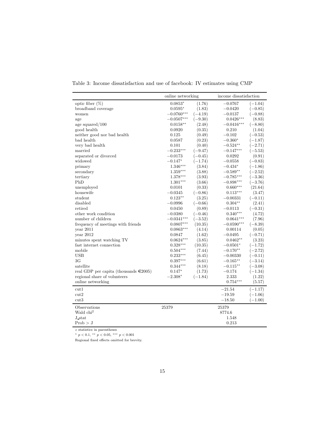|                                             | online networking |           | income dissatisfaction |           |
|---------------------------------------------|-------------------|-----------|------------------------|-----------|
| optic fiber $(\%)$                          | $0.0853*$         | (1.76)    | $-0.0767$              | $(-1.04)$ |
| broadband coverage                          | $0.0595*$         | (1.83)    | $-0.0420$              | $(-0.85)$ |
| women                                       | $-0.0760***$      | $(-4.19)$ | $-0.0137$              | $(-0.88)$ |
| age                                         | $-0.0507***$      | $(-9.30)$ | $0.0426***$            | (8.83)    |
| age squared/100                             | $0.0158**$        | (2.48)    | $-0.0416***$           | $(-8.80)$ |
| good health                                 | 0.0920            | (0.35)    | 0.210                  | (1.04)    |
| neither good nor bad health                 | 0.125             | (0.49)    | $-0.102$               | $(-0.53)$ |
| bad health                                  | 0.0587            | (0.23)    | $-0.360*$              | $(-1.87)$ |
| very bad health                             | 0.101             | (0.40)    | $-0.524**$             | $(-2.71)$ |
| married                                     | $-0.233***$       | $(-9.47)$ | $-0.147***$            | $(-5.53)$ |
| separated or divorced                       | $-0.0173$         | $(-0.45)$ | 0.0292                 | (0.91)    |
| widowed                                     | $-0.147*$         | $(-1.74)$ | $-0.0558$              | $(-0.83)$ |
| primary                                     | $1.346***$        | (3.84)    | $-0.434*$              | $(-1.86)$ |
| secondary                                   | $1.359***$        | (3.88)    | $-0.589**$             | $(-2.52)$ |
| tertiary                                    | $1.378***$        | (3.93)    | $-0.785***$            | $(-3.36)$ |
| PhD                                         | $1.301***$        | (3.66)    | $-0.898***$            | $(-3.76)$ |
| unemployed                                  | 0.0101            | (0.33)    | $0.660***$             | (21.64)   |
| housewife                                   | $-0.0345$         | $(-0.86)$ | $0.113***$             | (3.47)    |
| student                                     | $0.123**$         | (3.25)    | $-0.00331$             | $(-0.11)$ |
| disabled                                    | $-0.0996$         | $(-0.66)$ | $0.304**$              | (2.41)    |
| retired                                     | 0.0450            | (0.89)    | $-0.0113$              | $(-0.31)$ |
| other work condition                        | $-0.0380$         | $(-0.46)$ | $0.340***$             | (4.72)    |
| number of children                          | $-0.0341^{***}$   | $(-3.52)$ | $0.0641***$            | (7.96)    |
| frequency of meetings with friends          | $0.0807***$       | (10.35)   | $-0.0590***$           | $(-8.39)$ |
| year $2011$                                 | $0.0863***$       | (4.14)    | 0.00114                | (0.05)    |
| year 2012                                   | 0.0847            | (1.62)    | $-0.0495$              | $(-0.71)$ |
| minutes spent watching TV                   | $0.0624***$       | (3.85)    | $0.0462**$             | (3.23)    |
| fast internet connection                    | $0.328***$        | (10.35)   | $-0.0501*$             | $(-1.72)$ |
| mobile                                      | $0.504***$        | (7.44)    | $-0.170**$             | $(-2.72)$ |
| <b>USB</b>                                  | $0.233***$        | (6.45)    | $-0.00330$             | $(-0.11)$ |
| 3 <sub>G</sub>                              | $0.397***$        | (6.61)    | $-0.165**$             | $(-3.14)$ |
| satellite                                   | $0.344***$        | (8.18)    | $-0.115**$             | $(-3.08)$ |
| real GDP per capita (thousands $\in 2005$ ) | $0.147*$          | (1.73)    | $-0.174$               | $(-1.34)$ |
| regional share of volunteers                | $-2.308*$         | $(-1.84)$ | 2.333                  | (1.22)    |
| online networking                           |                   |           | $0.754***$             | (5.57)    |
| cut1                                        |                   |           | $-21.54$               | $(-1.17)$ |
| cut2                                        |                   |           | $-19.59$               | $(-1.06)$ |
| cut3                                        |                   |           | $-18.50$               | $-1.00$   |
| Observations                                | 25379             |           | 25379                  |           |
| Wald chi <sup>2</sup>                       |                   |           | 8774.6                 |           |
| J stat                                      |                   |           | 1.548                  |           |
|                                             |                   |           |                        |           |
| Prob > J                                    |                   |           | 0.213                  |           |

Table 3: Income dissatisfaction and use of facebook: IV estimates using CMP

 $\boldsymbol{z}$  statistics in parentheses

\* p < 0.1, \*\* p < 0.05, \*\*\* p < 0.001

Regional fixed effects omitted for brevity.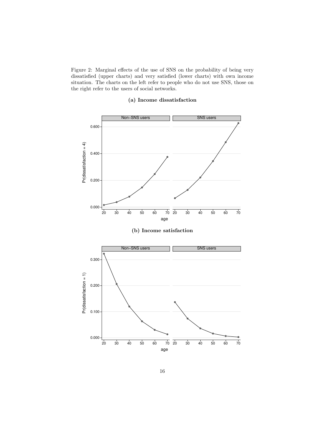Figure 2: Marginal effects of the use of SNS on the probability of being very dissatisfied (upper charts) and very satisfied (lower charts) with own income situation. The charts on the left refer to people who do not use SNS, those on the right refer to the users of social networks.

#### (a) Income dissatisfaction

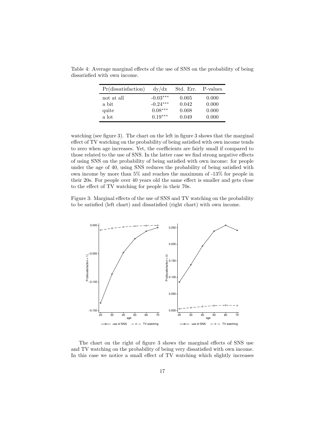| Pr(dissatis factor) | dy/dx      | Std. Err. | P-values |
|---------------------|------------|-----------|----------|
| not at all          | $-0.03***$ | 0.005     | 0.000    |
| a bit               | $-0.24***$ | 0.042     | 0.000    |
| quite               | $0.08***$  | 0.008     | 0.000    |
| a lot               | $0.19***$  | 0.049     | 0.000    |

Table 4: Average marginal effects of the use of SNS on the probability of being dissatisfied with own income.

watching (see figure 3). The chart on the left in figure 3 shows that the marginal effect of TV watching on the probability of being satisfied with own income tends to zero when age increases. Yet, the coefficients are fairly small if compared to those related to the use of SNS. In the latter case we find strong negative effects of using SNS on the probability of being satisfied with own income: for people under the age of 40, using SNS reduces the probability of being satisfied with own income by more than 5% and reaches the maximum of -13% for people in their 20s. For people over 40 years old the same effect is smaller and gets close to the effect of TV watching for people in their 70s.

Figure 3: Marginal effects of the use of SNS and TV watching on the probability to be satisfied (left chart) and dissatisfied (right chart) with own income.



The chart on the right of figure 3 shows the marginal effects of SNS use and TV watching on the probability of being very dissatisfied with own income. In this case we notice a small effect of TV watching which slightly increases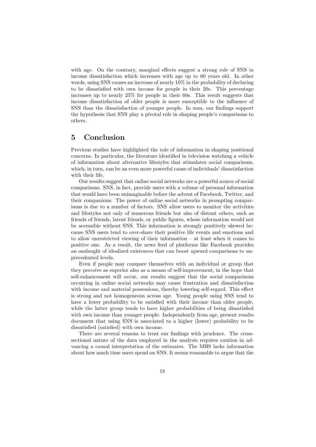with age. On the contrary, marginal effects suggest a strong role of SNS in income dissatisfaction which increases with age up to 60 years old. In other words, using SNS causes an increase of nearly 10% in the probability of declaring to be dissatisfied with own income for people in their 20s. This percentage increases up to nearly 25% for people in their 60s. This result suggests that income dissatisfaction of older people is more susceptible to the influence of SNS than the dissatisfaction of younger people. In sum, our findings support the hypothesis that SNS play a pivotal role in shaping people's comparisons to others.

#### 5 Conclusion

Previous studies have highlighted the role of information in shaping positional concerns. In particular, the literature identified in television watching a vehicle of information about alternative lifestyles that stimulates social comparisons, which, in turn, can be an even more powerful cause of individuals' dissatisfaction with their life.

Our results suggest that online social networks are a powerful source of social comparisons. SNS, in fact, provide users with a volume of personal information that would have been unimaginable before the advent of Facebook, Twitter, and their companions. The power of online social networks in prompting comparisons is due to a number of factors. SNS allow users to monitor the activities and lifestyles not only of numerous friends but also of distant others, such as friends of friends, latent friends, or public figures, whose information would not be accessible without SNS. This information is strongly positively skewed because SNS users tend to over-share their positive life events and emotions and to allow unrestricted viewing of their information – at least when it comes to positive one. As a result, the news feed of platforms like Facebook provides an onslaught of idealized existences that can boost upward comparisons to unprecedented levels.

Even if people may compare themselves with an individual or group that they perceive as superior also as a means of self-improvement, in the hope that self-enhancement will occur, our results suggest that the social comparisons occurring in online social networks may cause frustration and dissatisfaction with income and material possessions, thereby lowering self-regard. This effect is strong and not homogeneous across age. Young people using SNS tend to have a lower probability to be satisfied with their income than older people, while the latter group tends to have higher probabilities of being dissatisfied with own income than younger people. Independently from age, present results document that using SNS is associated to a higher (lower) probability to be dissatisfied (satisfied) with own income.

There are several reasons to treat our findings with prudence. The crosssectional nature of the data employed in the analysis requires caution in advancing a causal interpretation of the estimates. The MHS lacks information about how much time users spend on SNS. It seems reasonable to argue that the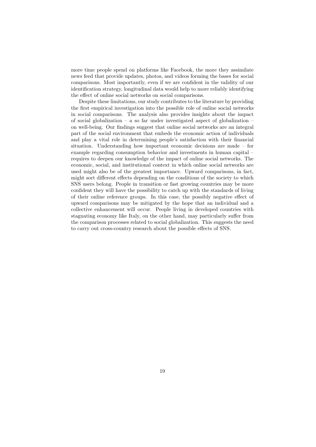more time people spend on platforms like Facebook, the more they assimilate news feed that provide updates, photos, and videos forming the bases for social comparisons. Most importantly, even if we are confident in the validity of our identification strategy, longitudinal data would help to more reliably identifying the effect of online social networks on social comparisons.

Despite these limitations, our study contributes to the literature by providing the first empirical investigation into the possible role of online social networks in social comparisons. The analysis also provides insights about the impact of social globalization – a so far under investigated aspect of globalization – on well-being. Our findings suggest that online social networks are an integral part of the social environment that embeds the economic action of individuals and play a vital role in determining people's satisfaction with their financial situation. Understanding how important economic decisions are made – for example regarding consumption behavior and investments in human capital – requires to deepen our knowledge of the impact of online social networks. The economic, social, and institutional context in which online social networks are used might also be of the greatest importance. Upward comparisons, in fact, might sort different effects depending on the conditions of the society to which SNS users belong. People in transition or fast growing countries may be more confident they will have the possibility to catch up with the standards of living of their online reference groups. In this case, the possibly negative effect of upward comparisons may be mitigated by the hope that an individual and a collective enhancement will occur. People living in developed countries with stagnating economy like Italy, on the other hand, may particularly suffer from the comparison processes related to social globalization. This suggests the need to carry out cross-country research about the possible effects of SNS.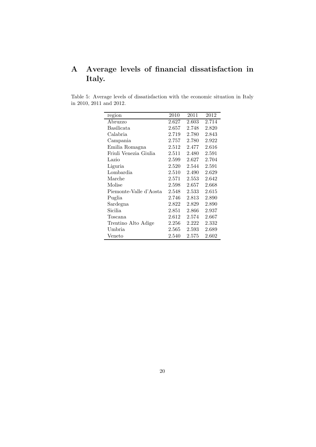### A Average levels of financial dissatisfaction in Italy.

Table 5: Average levels of dissatisfaction with the economic situation in Italy in 2010, 2011 and 2012.

| region                 | 2010  | 2011  | 2012      |
|------------------------|-------|-------|-----------|
| Abruzzo                | 2.627 | 2.603 | 2.714     |
| Basilicata             | 2.657 | 2.748 | 2.820     |
| Calabria               | 2.719 | 2.780 | 2.843     |
| Campania               | 2.757 | 2.780 | 2.922     |
| Emilia Romagna         | 2.512 | 2.477 | 2.616     |
| Friuli Venezia Giulia  | 2.511 | 2.480 | 2.591     |
| Lazio                  | 2.599 | 2.627 | 2.704     |
| Liguria                | 2.520 | 2.544 | 2.591     |
| Lombardia              | 2.510 | 2.490 | 2.629     |
| Marche                 | 2.571 | 2.553 | 2.642     |
| Molise                 | 2.598 | 2.657 | 2.668     |
| Piemonte-Valle d'Aosta | 2.548 | 2.533 | 2.615     |
| Puglia                 | 2.746 | 2.813 | 2.890     |
| Sardegna               | 2.822 | 2.829 | 2.890     |
| Sicilia                | 2.851 | 2.866 | 2.937     |
| Toscana                | 2.612 | 2.574 | 2.667     |
| Trentino Alto Adige    | 2.256 | 2.222 | 2.332     |
| Umbria                 | 2.565 | 2.593 | 2.689     |
| Veneto                 | 2.540 | 2.575 | $2.602\,$ |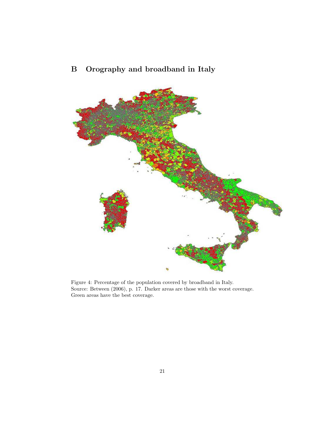

# B Orography and broadband in Italy

Figure 4: Percentage of the population covered by broadband in Italy. Source: Between (2006), p. 17. Darker areas are those with the worst coverage. Green areas have the best coverage.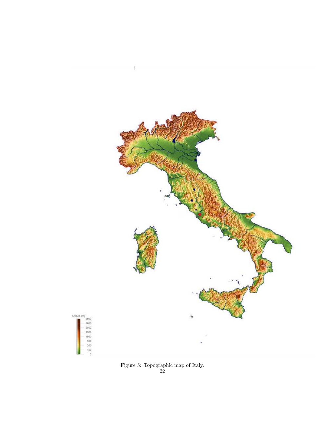

Figure 5: Topographic map of Italy. 22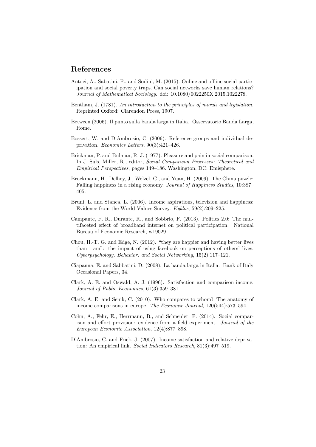### References

- Antoci, A., Sabatini, F., and Sodini, M. (2015). Online and offline social participation and social poverty traps. Can social networks save human relations? Journal of Mathematical Sociology. doi: 10.1080/0022250X.2015.1022278.
- Bentham, J. (1781). An introduction to the principles of morals and legislation. Reprinted Oxford: Clarendon Press, 1907.
- Between (2006). Il punto sulla banda larga in Italia. Osservatorio Banda Larga, Rome.
- Bossert, W. and D'Ambrosio, C. (2006). Reference groups and individual deprivation. Economics Letters, 90(3):421–426.
- Brickman, P. and Bulman, R. J. (1977). Pleasure and pain in social comparison. In J. Suls, Miller, R., editor, Social Comparison Processes: Theoretical and Empirical Perspectives, pages 149–186. Washington, DC: Emisphere.
- Brockmann, H., Delhey, J., Welzel, C., and Yuan, H. (2009). The China puzzle: Falling happiness in a rising economy. Journal of Happiness Studies, 10:387– 405.
- Bruni, L. and Stanca, L. (2006). Income aspirations, television and happiness: Evidence from the World Values Survey. Kyklos, 59(2):209–225.
- Campante, F. R., Durante, R., and Sobbrio, F. (2013). Politics 2.0: The multifaceted effect of broadband internet on political participation. National Bureau of Economic Research, w19029.
- Chou, H.-T. G. and Edge, N. (2012). "they are happier and having better lives than i am": the impact of using facebook on perceptions of others' lives. Cyberpsychology, Behavior, and Social Networking, 15(2):117–121.
- Ciapanna, E. and Sabbatini, D. (2008). La banda larga in Italia. Bank of Italy Occasional Papers, 34.
- Clark, A. E. and Oswald, A. J. (1996). Satisfaction and comparison income. Journal of Public Economics, 61(3):359–381.
- Clark, A. E. and Senik, C. (2010). Who compares to whom? The anatomy of income comparisons in europe. The Economic Journal, 120(544):573–594.
- Cohn, A., Fehr, E., Herrmann, B., and Schneider, F. (2014). Social comparison and effort provision: evidence from a field experiment. Journal of the European Economic Association, 12(4):877–898.
- D'Ambrosio, C. and Frick, J. (2007). Income satisfaction and relative deprivation: An empirical link. Social Indicators Research, 81(3):497–519.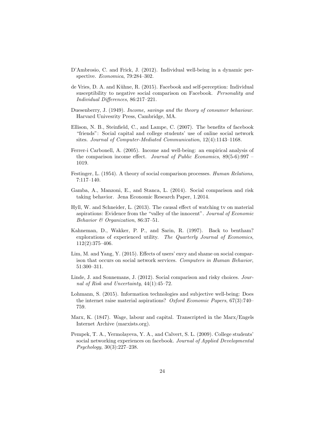- D'Ambrosio, C. and Frick, J. (2012). Individual well-being in a dynamic perspective. Economica, 79:284–302.
- de Vries, D. A. and K¨uhne, R. (2015). Facebook and self-perception: Individual susceptibility to negative social comparison on Facebook. Personality and Individual Differences, 86:217–221.
- Duesenberry, J. (1949). Income, savings and the theory of consumer behaviour. Harvard Univesrity Press, Cambridge, MA.
- Ellison, N. B., Steinfield, C., and Lampe, C. (2007). The benefits of facebook "friends": Social capital and college students' use of online social network sites. Journal of Computer-Mediated Communication, 12(4):1143–1168.
- Ferrer-i Carbonell, A. (2005). Income and well-being: an empirical analysis of the comparison income effect. Journal of Public Economics, 89(5-6):997 – 1019.
- Festinger, L. (1954). A theory of social comparison processes. Human Relations, 7:117–140.
- Gamba, A., Manzoni, E., and Stanca, L. (2014). Social comparison and risk taking behavior. Jena Economic Research Paper, 1.2014.
- Hyll, W. and Schneider, L. (2013). The causal effect of watching tv on material aspirations: Evidence from the "valley of the innocent". Journal of Economic Behavior & Organization, 86:37–51.
- Kahneman, D., Wakker, P. P., and Sarin, R. (1997). Back to bentham? explorations of experienced utility. The Quarterly Journal of Economics, 112(2):375–406.
- Lim, M. and Yang, Y. (2015). Effects of users' envy and shame on social comparison that occurs on social network services. Computers in Human Behavior, 51:300–311.
- Linde, J. and Sonnemans, J. (2012). Social comparison and risky choices. Journal of Risk and Uncertainty, 44(1):45–72.
- Lohmann, S. (2015). Information technologies and subjective well-being: Does the internet raise material aspirations? Oxford Economic Papers, 67(3):740– 759.
- Marx, K. (1847). Wage, labour and capital. Transcripted in the Marx/Engels Internet Archive (marxists.org).
- Pempek, T. A., Yermolayeva, Y. A., and Calvert, S. L. (2009). College students' social networking experiences on facebook. Journal of Applied Developmental Psychology, 30(3):227–238.